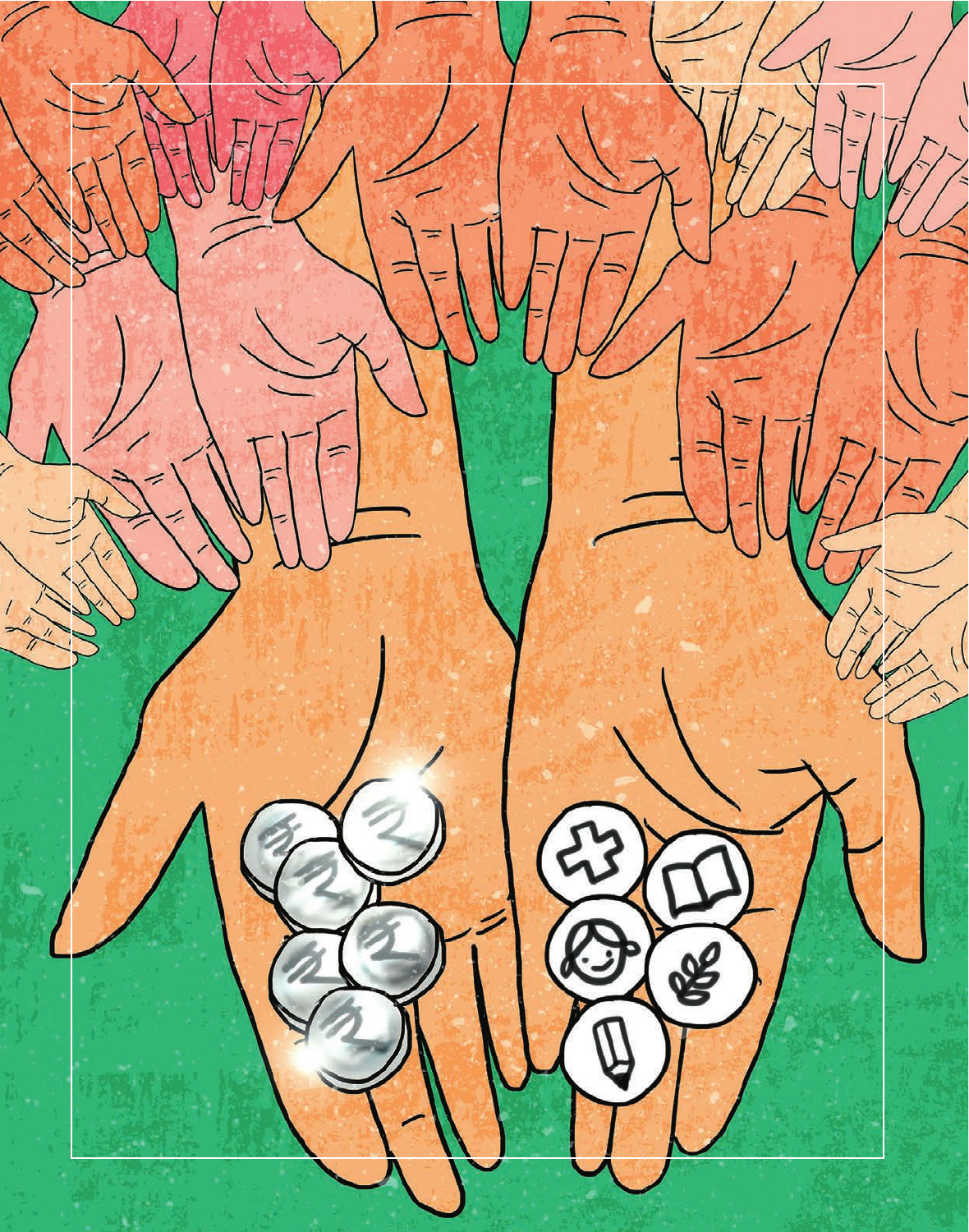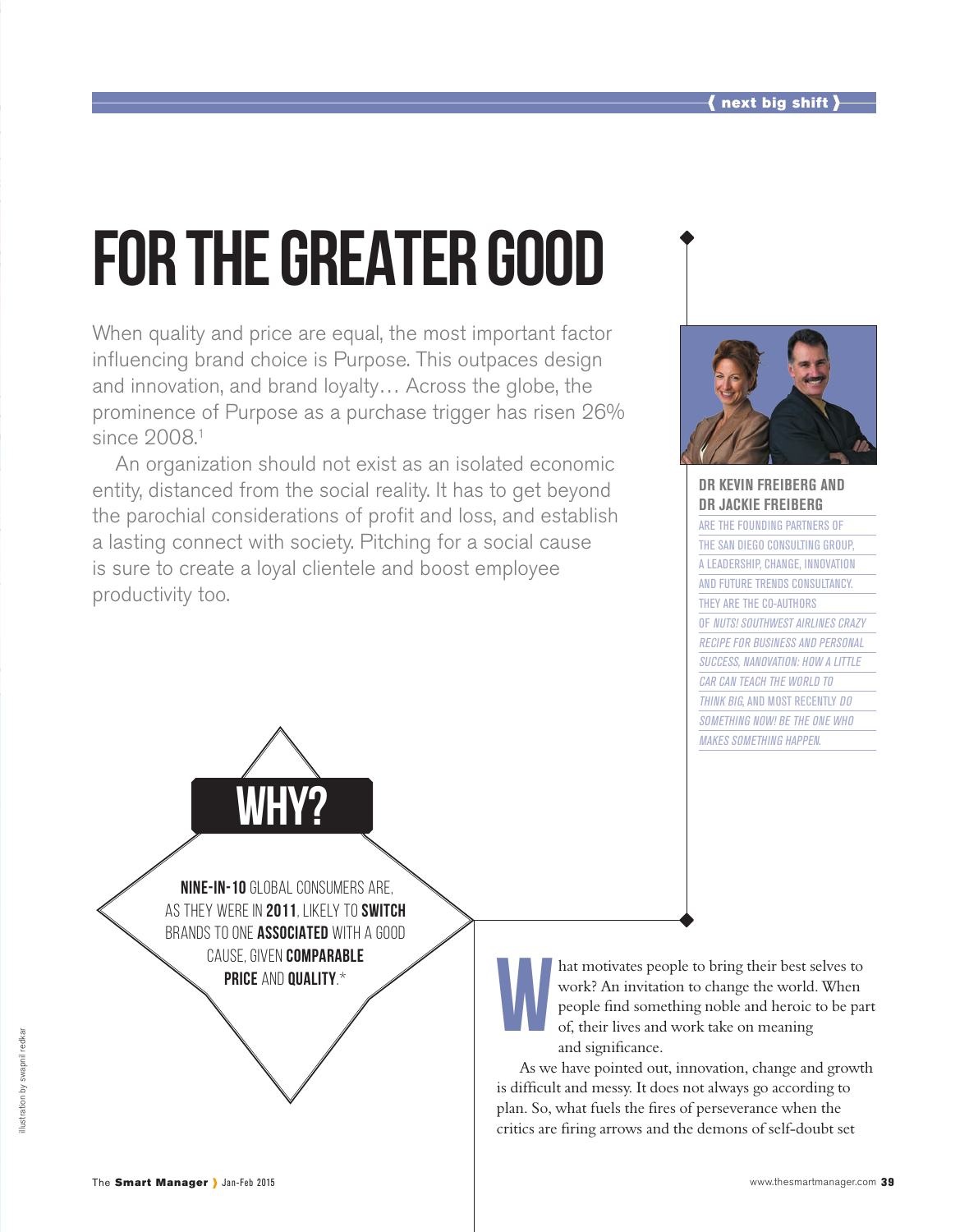# **FOR THE GREATER GOOD**

When quality and price are equal, the most important factor influencing brand choice is Purpose. This outpaces design and innovation, and brand loyalty… Across the globe, the prominence of Purpose as a purchase trigger has risen 26% since 2008.<sup>1</sup>

An organization should not exist as an isolated economic entity, distanced from the social reality. It has to get beyond the parochial considerations of profit and loss, and establish a lasting connect with society. Pitching for a social cause is sure to create a loyal clientele and boost employee productivity too.



**DR KEVIN FREIBERG AND DR JACKIE FREIBERG** ARE THE FOUNDING PARTNERS OF THE SAN DIEGO CONSULTING GROUP, A LEADERSHIP, CHANGE, INNOVATION AND FUTURE TRENDS CONSULTANCY. THEY ARE THE CO-AUTHORS OF NUTS! SOUTHWEST AIRLINES CRAZY RECIPE FOR BUSINESS AND PERSONAL SUCCESS, NANOVATION: HOW A LITTLE CAR CAN TEACH THE WORLD TO THINK BIG, AND MOST RECENTLY DO SOMETHING NOW! BE THE ONE WHO MAKES SOMETHING HAPPEN.

**NINE-IN-10** GLOBAL CONSUMERS ARE, AS THEY WERE IN **2011**, LIKELY TO **SWITCH** BRANDS TO ONE **ASSOCIATED** WITH A GOOD CAUSE, GIVEN **COMPARABLE PRICE** AND **QUALITY**.\*

**WHY?**

hat motivates people to bring their best selves to work? An invitation to change the world. When people find something noble and heroic to be part of, their lives and work take on meaning and significance. **W**

As we have pointed out, innovation, change and growth is difficult and messy. It does not always go according to plan. So, what fuels the fires of perseverance when the critics are firing arrows and the demons of self-doubt set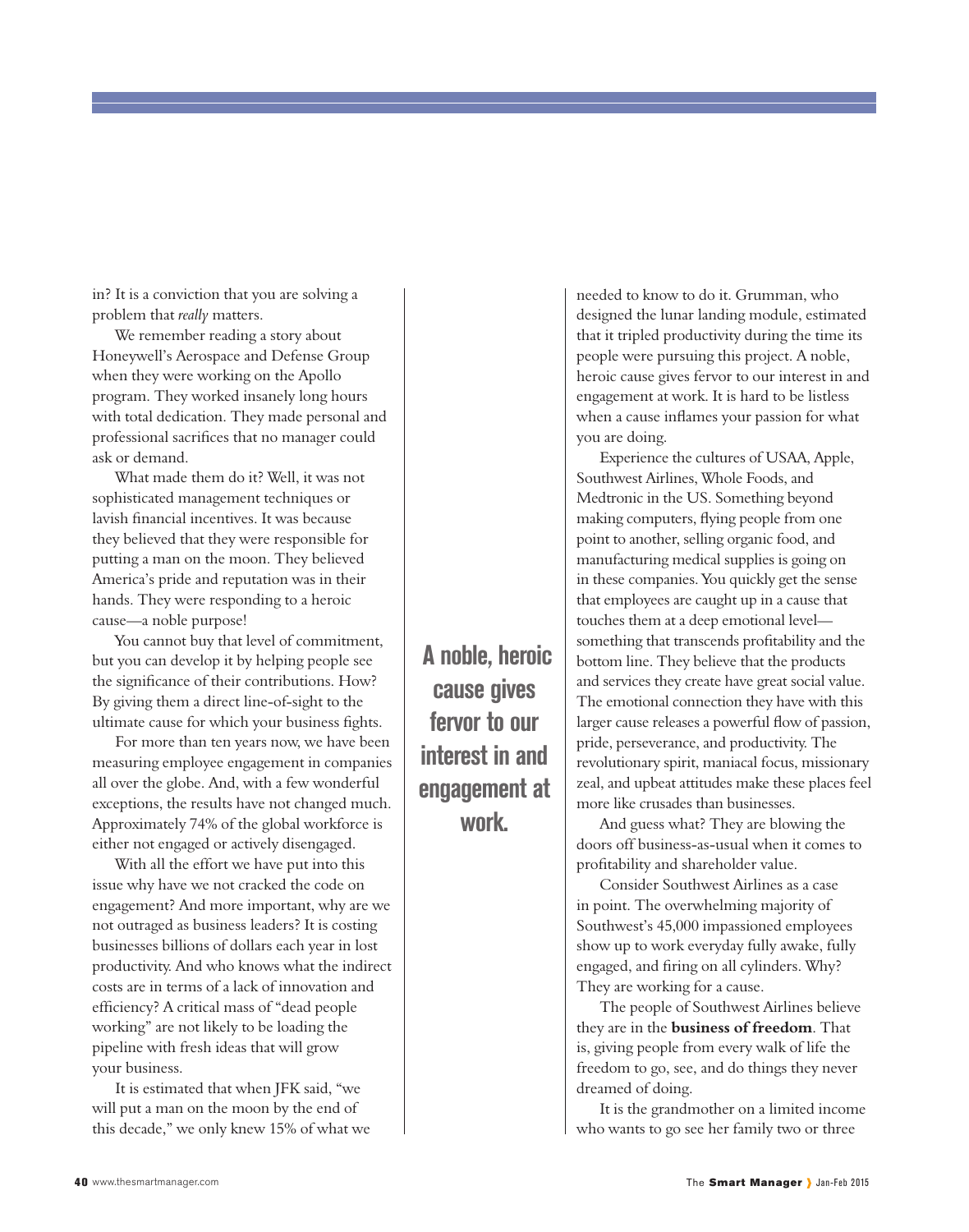in? It is a conviction that you are solving a problem that *really* matters.

We remember reading a story about Honeywell's Aerospace and Defense Group when they were working on the Apollo program. They worked insanely long hours with total dedication. They made personal and professional sacrifices that no manager could ask or demand.

What made them do it? Well, it was not sophisticated management techniques or lavish financial incentives. It was because they believed that they were responsible for putting a man on the moon. They believed America's pride and reputation was in their hands. They were responding to a heroic cause—a noble purpose!

You cannot buy that level of commitment, but you can develop it by helping people see the significance of their contributions. How? By giving them a direct line-of-sight to the ultimate cause for which your business fights.

For more than ten years now, we have been measuring employee engagement in companies all over the globe. And, with a few wonderful exceptions, the results have not changed much. Approximately 74% of the global workforce is either not engaged or actively disengaged.

With all the effort we have put into this issue why have we not cracked the code on engagement? And more important, why are we not outraged as business leaders? It is costing businesses billions of dollars each year in lost productivity. And who knows what the indirect costs are in terms of a lack of innovation and efficiency? A critical mass of "dead people working" are not likely to be loading the pipeline with fresh ideas that will grow your business.

It is estimated that when JFK said, "we will put a man on the moon by the end of this decade," we only knew 15% of what we

 **A noble, heroic cause gives fervor to our interest in and engagement at work.**

needed to know to do it. Grumman, who designed the lunar landing module, estimated that it tripled productivity during the time its people were pursuing this project. A noble, heroic cause gives fervor to our interest in and engagement at work. It is hard to be listless when a cause inflames your passion for what you are doing.

Experience the cultures of USAA, Apple, Southwest Airlines, Whole Foods, and Medtronic in the US. Something beyond making computers, flying people from one point to another, selling organic food, and manufacturing medical supplies is going on in these companies. You quickly get the sense that employees are caught up in a cause that touches them at a deep emotional level something that transcends profitability and the bottom line. They believe that the products and services they create have great social value. The emotional connection they have with this larger cause releases a powerful flow of passion, pride, perseverance, and productivity. The revolutionary spirit, maniacal focus, missionary zeal, and upbeat attitudes make these places feel more like crusades than businesses.

And guess what? They are blowing the doors off business-as-usual when it comes to profitability and shareholder value.

Consider Southwest Airlines as a case in point. The overwhelming majority of Southwest's 45,000 impassioned employees show up to work everyday fully awake, fully engaged, and firing on all cylinders. Why? They are working for a cause.

The people of Southwest Airlines believe they are in the **business of freedom**. That is, giving people from every walk of life the freedom to go, see, and do things they never dreamed of doing.

It is the grandmother on a limited income who wants to go see her family two or three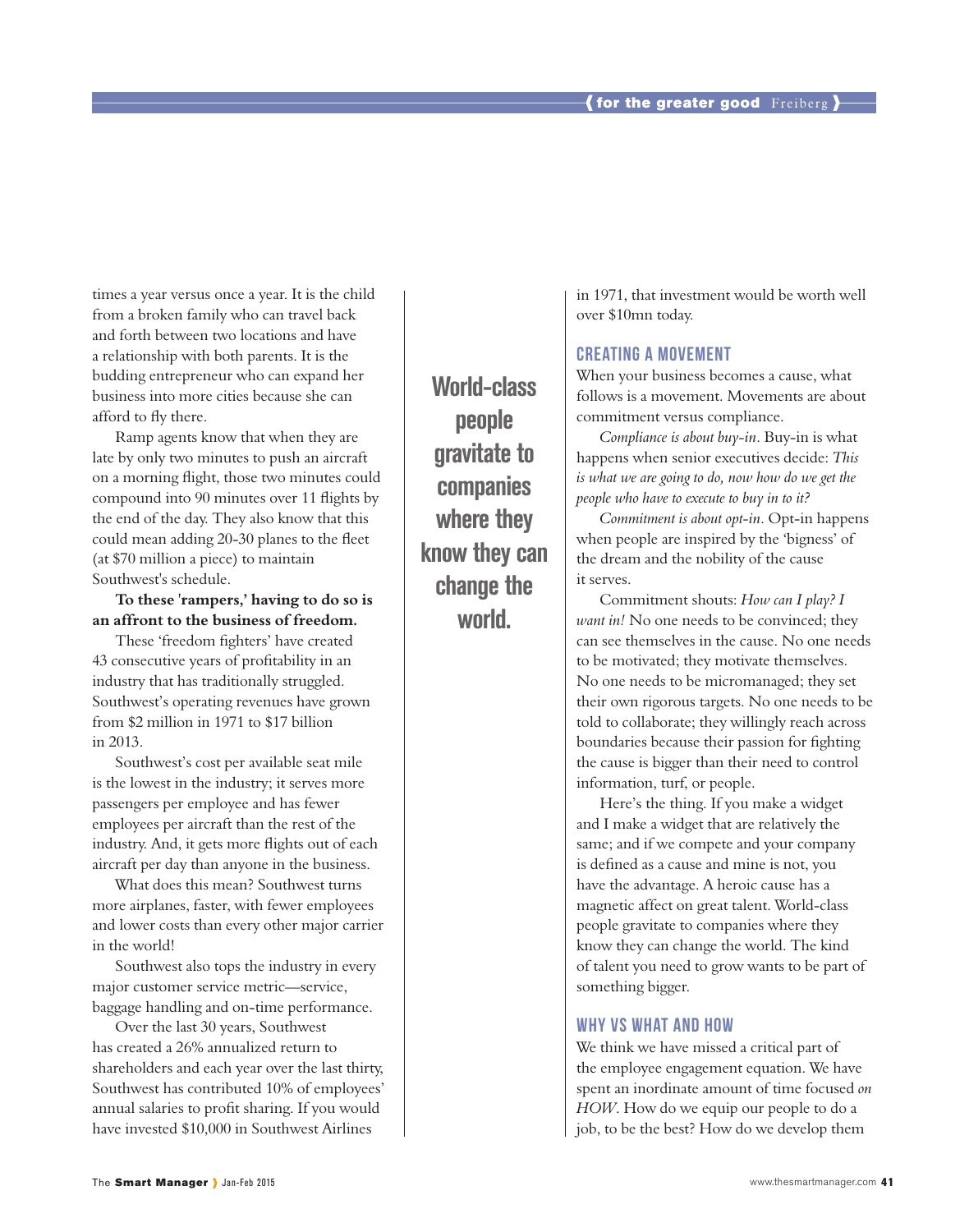times a year versus once a year. It is the child from a broken family who can travel back and forth between two locations and have a relationship with both parents. It is the budding entrepreneur who can expand her business into more cities because she can afford to fly there.

Ramp agents know that when they are late by only two minutes to push an aircraft on a morning flight, those two minutes could compound into 90 minutes over 11 flights by the end of the day. They also know that this could mean adding 20-30 planes to the fleet (at \$70 million a piece) to maintain Southwest's schedule.

**To these 'rampers,' having to do so is an affront to the business of freedom.**

These 'freedom fighters' have created 43 consecutive years of profitability in an industry that has traditionally struggled. Southwest's operating revenues have grown from \$2 million in 1971 to \$17 billion in 2013.

Southwest's cost per available seat mile is the lowest in the industry; it serves more passengers per employee and has fewer employees per aircraft than the rest of the industry. And, it gets more flights out of each aircraft per day than anyone in the business.

What does this mean? Southwest turns more airplanes, faster, with fewer employees and lower costs than every other major carrier in the world!

Southwest also tops the industry in every major customer service metric—service, baggage handling and on-time performance.

Over the last 30 years, Southwest has created a 26% annualized return to shareholders and each year over the last thirty, Southwest has contributed 10% of employees' annual salaries to profit sharing. If you would have invested \$10,000 in Southwest Airlines

**World-class people gravitate to companies where they know they can change the world.**

in 1971, that investment would be worth well over \$10mn today.

### **creating a movement**

When your business becomes a cause, what follows is a movement. Movements are about commitment versus compliance.

*Compliance is about buy-in*. Buy-in is what happens when senior executives decide: *This is what we are going to do, now how do we get the people who have to execute to buy in to it?*

*Commitment is about opt-in*. Opt-in happens when people are inspired by the 'bigness' of the dream and the nobility of the cause it serves.

Commitment shouts: *How can I play? I want in!* No one needs to be convinced; they can see themselves in the cause. No one needs to be motivated; they motivate themselves. No one needs to be micromanaged; they set their own rigorous targets. No one needs to be told to collaborate; they willingly reach across boundaries because their passion for fighting the cause is bigger than their need to control information, turf, or people.

Here's the thing. If you make a widget and I make a widget that are relatively the same; and if we compete and your company is defined as a cause and mine is not, you have the advantage. A heroic cause has a magnetic affect on great talent. World-class people gravitate to companies where they know they can change the world. The kind of talent you need to grow wants to be part of something bigger.

### **why vs what and how**

We think we have missed a critical part of the employee engagement equation. We have spent an inordinate amount of time focused *on HOW*. How do we equip our people to do a job, to be the best? How do we develop them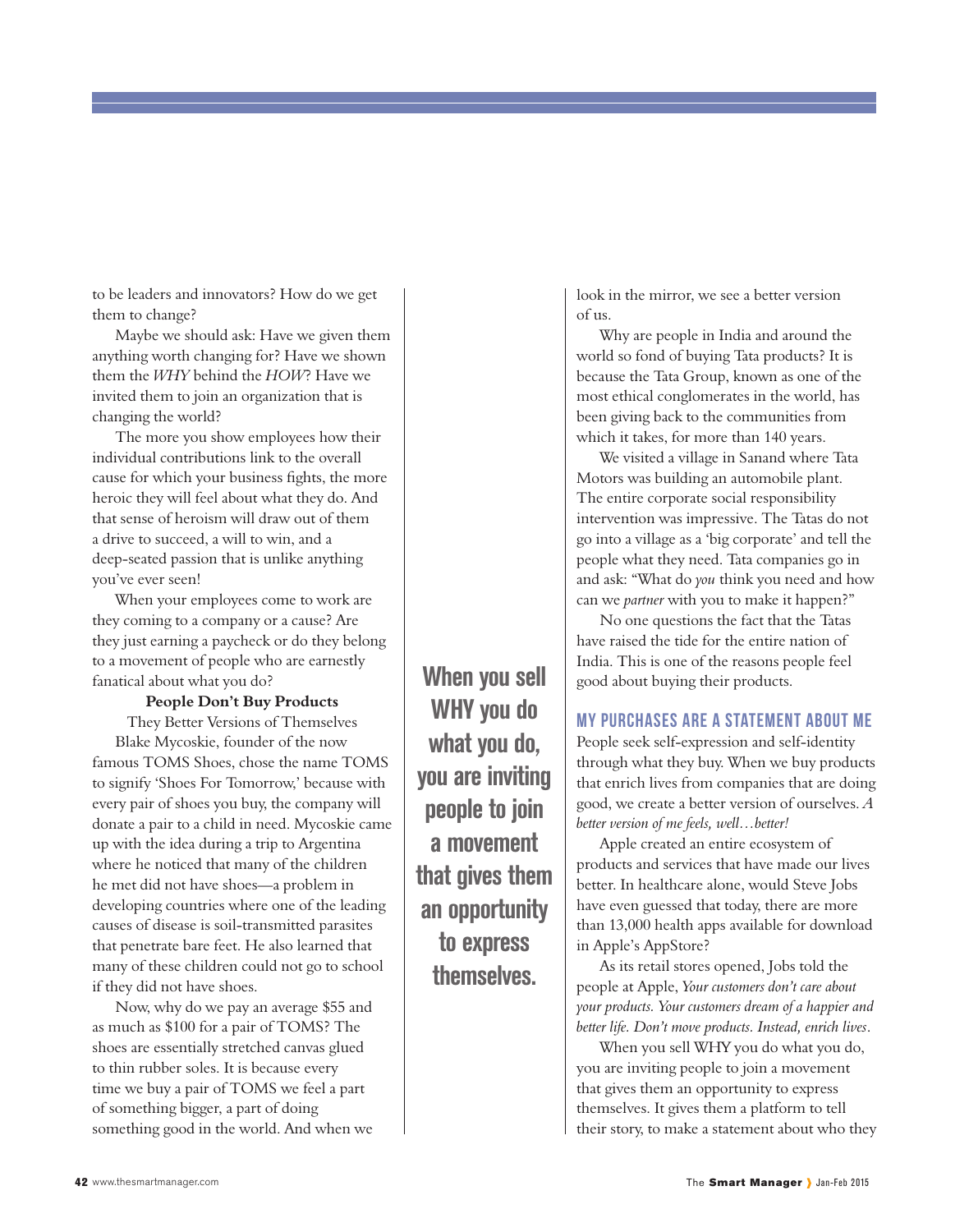to be leaders and innovators? How do we get them to change?

Maybe we should ask: Have we given them anything worth changing for? Have we shown them the *WHY* behind the *HOW*? Have we invited them to join an organization that is changing the world?

The more you show employees how their individual contributions link to the overall cause for which your business fights, the more heroic they will feel about what they do. And that sense of heroism will draw out of them a drive to succeed, a will to win, and a deep-seated passion that is unlike anything you've ever seen!

When your employees come to work are they coming to a company or a cause? Are they just earning a paycheck or do they belong to a movement of people who are earnestly fanatical about what you do?

#### **People Don't Buy Products**

They Better Versions of Themselves Blake Mycoskie, founder of the now famous TOMS Shoes, chose the name TOMS to signify 'Shoes For Tomorrow,' because with every pair of shoes you buy, the company will donate a pair to a child in need. Mycoskie came up with the idea during a trip to Argentina where he noticed that many of the children he met did not have shoes—a problem in developing countries where one of the leading causes of disease is soil-transmitted parasites that penetrate bare feet. He also learned that many of these children could not go to school if they did not have shoes.

Now, why do we pay an average \$55 and as much as \$100 for a pair of TOMS? The shoes are essentially stretched canvas glued to thin rubber soles. It is because every time we buy a pair of TOMS we feel a part of something bigger, a part of doing something good in the world. And when we

**When you sell WHY you do what you do, you are inviting people to join a movement that gives them an opportunity to express themselves.**

look in the mirror, we see a better version of us.

Why are people in India and around the world so fond of buying Tata products? It is because the Tata Group, known as one of the most ethical conglomerates in the world, has been giving back to the communities from which it takes, for more than 140 years.

We visited a village in Sanand where Tata Motors was building an automobile plant. The entire corporate social responsibility intervention was impressive. The Tatas do not go into a village as a 'big corporate' and tell the people what they need. Tata companies go in and ask: "What do *you* think you need and how can we *partner* with you to make it happen?"

No one questions the fact that the Tatas have raised the tide for the entire nation of India. This is one of the reasons people feel good about buying their products.

#### **My purchases are a statement about me**

People seek self-expression and self-identity through what they buy. When we buy products that enrich lives from companies that are doing good, we create a better version of ourselves. *A better version of me feels, well…better!*

Apple created an entire ecosystem of products and services that have made our lives better. In healthcare alone, would Steve Jobs have even guessed that today, there are more than 13,000 health apps available for download in Apple's AppStore?

As its retail stores opened, Jobs told the people at Apple, *Your customers don't care about your products. Your customers dream of a happier and better life. Don't move products. Instead, enrich lives*.

When you sell WHY you do what you do, you are inviting people to join a movement that gives them an opportunity to express themselves. It gives them a platform to tell their story, to make a statement about who they